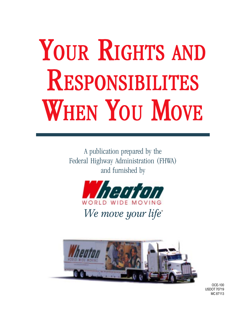# YOUR RIGHTS AND RESPONSIBILITES WHEN YOU MOVE

A publication prepared by the Federal Highway Administration (FHWA) and furnished by





OCE-100 USDOT 70719 MC 87113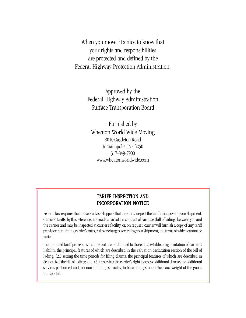When you move, it's nice to know that your rights and responsibilities are protected and defined by the Federal Highway Protection Administration.

> Approved by the Federal Highway Administration Surface Transporation Board

Furnished by Wheaton World Wide Moving 8010 Castleton Road Indianapolis, IN 46250 317-849-7900 www.wheatonworldwide.com

## TARIFF INSPECTION AND INCORPORATION NOTICE

Federal law requires that movers advise shippers that they may inspect the tariffs that govern your shipment. Carriers' tariffs, by this reference, are made a part of the contract of carriage (bill of lading) between you and the carrier and may be inspected at carrier's facility, or, on request, carrier will furnish a copy of any tariff provision containing carrier's rates, rules or charges governing your shipment, the terms of which cannot be varied.

Incorporated tariff provisions include but are not limited to those: (1.) establishing limitation of carrier's liability, the principal features of which are described in the valuation declaration section of the bill of lading; (2.) setting the time periods for filing claims, the principal features of which are described in Section 6 of the bill of lading; and, (3.) reserving the carrier's right to assess additional charges for additional services performed and, on non-binding estimates, to base charges upon the exact weight of the goods transported.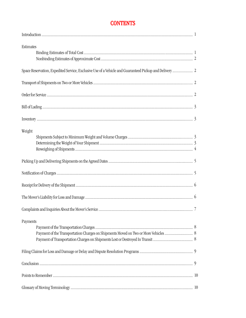# **CONTENTS**

| Estimates |  |
|-----------|--|
|           |  |
|           |  |
|           |  |
|           |  |
|           |  |
|           |  |
|           |  |
| Weight    |  |
|           |  |
|           |  |
|           |  |
|           |  |
|           |  |
|           |  |
|           |  |
|           |  |
| Payments  |  |
|           |  |
|           |  |
|           |  |
|           |  |
|           |  |
|           |  |
|           |  |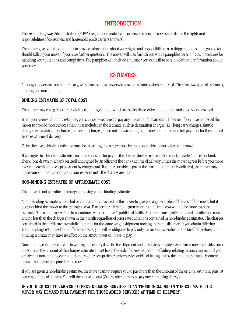## **INTRODUCTION**

The Federal Highway Administration (FHWA) regulations protect consumers on interstate moves and define the rights and responsibilities of consumers and household goods carriers (movers).

The mover gives you this pamphlet to provide information about your rights and responsibilities as a shipper of household goods. You should talk to your mover if you have further questions. The mover will also furnish you with a pamphlet describing its procedures for handling your questions and complaints. The pamphlet will include a number you can call to obtain additional information about your move.

# ESTIMATES

Although movers are not required to give estimates, most movers do provide estimates when requested. There are two types of estimates, binding and non-binding.

#### BINDING ESTIMATES OF TOTAL COST

The mover may charge you for providing a binding estimate which must clearly describe the shipment and all services provided.

When you receive a binding estimate, you cannot be required to pay any more than that amount. However, if you have requested the mover to provide more services than those included in the estimate, such as destination charges (i.e., long carry charges, shuttle charges, extra stair carry charges, or elevator charges) often not known at origin, the mover may demand full payment for those added services at time of delivery.

To be effective, a binding estimate must be in writing and a copy must be made available to you before your move.

If you agree to a binding estimate, you are responsible for paying the charges due by cash, certified check, traveler's check, or bank check (one drawn by a bank on itself and signed by an officer of the bank) at time of delivery unless the mover agrees before you move to extend credit or to accept payment by charge card. If you are unable to pay at the time the shipment is delivered, the mover may place your shipment in storage at your expense until the charges are paid.

## NON-BINDING ESTIMATES OF APPROXIMATE COST

The mover is not permitted to charge for giving a non-binding estimate.

A non-binding estimate is not a bid or contract. It is provided by the mover to give you a general idea of the cost of the move, but it does not bind the mover to the estimated cost. Furthermore, it is not a guarantee that the final cost will not be more than the estimate. The actual cost will be in accordance with the mover's published tariffs. All movers are legally obligated to collect no more and no less than the charges shown in their tariffs regardless of prior rate quotations contained in non-binding estimates. The charges contained in the tariffs are essentially the same for the same weight shipment moving the same distance. If you obtain differing (non-binding) estimates from different movers, you will be obligated to pay only the amount specified in the tariff. Therefore, a nonbinding estimate may have no effect on the amount you will have to pay.

Non-binding estimates must be in writing and clearly describe the shipment and all services provided. Any time a mover provides such an estimate the amount of the charges estimated must be on the order for service and bill of lading relating to your shipment. If you are given a non-binding estimate, do not sign or accept the order for service or bill of lading unless the amount estimated is entered on each form when prepared by the mover.

If you are given a non-binding estimate, the mover cannot require you to pay more than the amount of the original estimate, plus 10 percent, at time of delivery. You will then have at least 30 days after delivery to pay any remaining charges.

#### IF YOU REQUEST THE MOVER TO PROVIDE MORE SERVICES THAN THOSE INCLUDED IN THE ESTIMATE, THE MOVER MAY DEMAND FULL PAYMENT FOR THOSE ADDED SERVICES AT TIME OF DELIVERY.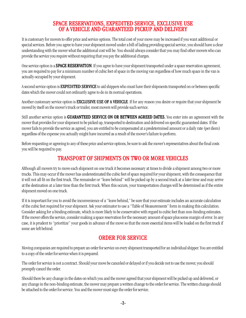## SPACE RESERVATIONS, EXPEDITED SERVICE, EXCLUSIVE USE OF A VEHICLE AND GUARANTEED PICKUP AND DELIVERY

It is customary for movers to offer price and service options. The total cost of your move may be increased if you want additional or special services. Before you agree to have your shipment moved under a bill of lading providing special service, you should have a clear understanding with the mover what the additional cost will be. You should always consider that you may find other movers who can provide the service you require without requiring that you pay the additional charges.

One service option is a **SPACE RESERVATION**. If you agree to have your shipment transported under a space reservation agreement, you are required to pay for a minimum number of cubic feet of space in the moving van regardless of how much space in the van is actually occupied by your shipment.

A second service option is **EXPEDITED SERVICE** to aid shippers who must have their shipments transported on or between specific dates which the mover could not ordinarily agree to do in its normal operations.

Another customary service option is **EXCLUSIVE USE OF A VEHICLE**. If for any reason you desire or require that your shipment be moved by itself on the mover's truck or trailer, most movers will provide such service.

Still another service option is GUARANTEED SERVICE ON OR BETWEEN AGREED DATES. You enter into an agreement with the mover that provides for your shipment to be picked up, transported to destination and delivered on specific guaranteed dates. If the mover fails to provide the service as agreed, you are entitled to be compensated at a predetermined amount or a daily rate (per diem) regardless of the expense you actually might have incurred as a result of the mover's failure to perform.

Before requesting or agreeing to any of these price and service options, be sure to ask the mover's representatives about the final costs you will be required to pay.

## TRANSPORT OF SHIPMENTS ON TWO OR MORE VEHICLES

Although all movers try to move each shipment on one truck it becomes necessary at times to divide a shipment among two or more trucks. This may occur if the mover has underestimated the cubic feet of space required for your shipment, with the consequence that it will not all fit on the first truck. The remainder or "leave behind" will be picked up by a second truck at a later time and may arrive at the destination at a later time than the first truck. When this occurs, your transportation charges will be determined as if the entire shipment moved on one truck.

If it is important for you to avoid the inconvenience of a "leave behind," be sure that your estimate includes an accurate calculation of the cubic feet required for your shipment. Ask your estimator to use a "Table of Measurements" form in making this calculation. Consider asking for a binding estimate, which is more likely to be conservative with regard to cubic feet than non-binding estimates. If the mover offers the service, consider making a space reservation for the necessary amount of space plus some margin of error. In any case, it is prudent to "prioritize" your goods in advance of the move so that the more essential items will be loaded on the first truck if some are left behind.

## ORDER FOR SERVICE

Moving companies are required to prepare an order for service on every shipment transported for an individual shipper. You are entitled to a copy of the order for service when it is prepared.

The order for service is not a contract. Should your move be canceled or delayed or if you decide not to use the mover, you should promptly cancel the order.

Should there be any change in the dates on which you and the mover agreed that your shipment will be picked up and delivered, or any change in the non-binding estimate, the mover may prepare a written change to the order for service. The written change should be attached to the order for service. You and the mover must sign the order for service.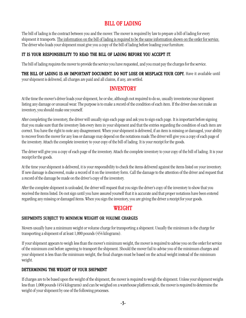# **BILL OF LADING**

The bill of lading is the contract between you and the mover. The mover is required by law to prepare a bill of lading for every shipment it transports. The information on the bill of lading is required to be the same information shown on the order for service. The driver who loads your shipment must give you a copy of the bill of lading before loading your furniture.

#### IT IS YOUR RESPONSIBILITY TO READ THE BILL OF LADING BEFORE YOU ACCEPT IT.

The bill of lading requires the mover to provide the service you have requested, and you must pay the charges for the service.

THE BILL OF LADING IS AN IMPORTANT DOCUMENT. DO NOT LOSE OR MISPLACE YOUR COPY. Have it available until your shipment is delivered, all charges are paid and all claims, if any, are settled.

## **INVENTORY**

At the time the mover's driver loads your shipment, he or she, although not required to do so, usually inventories your shipment listing any damage or unusual wear. The purpose is to make a record of the condition of each item. If the driver does not make an inventory, you should make one yourself.

After completing the inventory, the driver will usually sign each page and ask you to sign each page. It is important before signing that you make sure that the inventory lists every item in your shipment and that the entries regarding the condition of each item are correct. You have the right to note any disagreement. When your shipment is delivered, if an item is missing or damaged, your ability to recover from the mover for any loss or damage may depend on the notations made.The driver will give you a copy of each page of the inventory. Attach the complete inventory to your copy of the bill of lading. It is your receipt for the goods.

The driver will give you a copy of each page of the inventory. Attach the complete inventory to your copy of the bill of lading. It is your receipt for the goods.

At the time your shipment is delivered, it is your responsibility to check the items delivered against the items listed on your inventory. If new damage is discovered, make a record of it on the inventory form. Call the damage to the attention of the driver and request that a record of the damage be made on the driver's copy of the inventory.

After the complete shipment is unloaded, the driver will request that you sign the driver's copy of the inventory to show that you received the items listed. Do not sign until you have assured yourself that it is accurate and that proper notations have been entered regarding any missing or damaged items. When you sign the inventory, you are giving the driver a receipt for your goods.

## **WEIGHT**

#### SHIPMENTS SUBJECT TO MINIMUM WEIGHT OR VOLUME CHARGES

Movers usually have a minimum weight or volume charge for transporting a shipment. Usually the minimum is the charge for transporting a shipment of at least 1,000 pounds (454 kilograms).

If your shipment appears to weigh less than the mover's minimum weight, the mover is required to advise you on the order for service of the minimum cost before agreeing to transport the shipment. Should the mover fail to advise you of the minimum charges and your shipment is less than the minimum weight, the final charges must be based on the actual weight instead of the minimum weight.

## DETERMINING THE WEIGHT OF YOUR SHIPMENT

If charges are to be based upon the weight of the shipment, the mover is required to weigh the shipment. Unless your shipment weighs less than 1,000 pounds (454 kilograms) and can be weighed on a warehouse platform scale, the mover is required to determine the weight of your shipment by one of the following processes.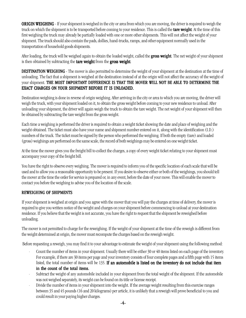**ORIGIN WEIGHING** - If your shipment is weighed in the city or area from which you are moving, the driver is required to weigh the truck on which the shipment is to be transported before coming to your residence. This is called the **tare weight**. At the time of this first weighing the truck may already be partially loaded with one or more other shipments. This will not affect the weight of your shipment. The truck should also contain the pads, dollies, hand-trucks, ramps, and other equipment normally used in the transportation of household goods shipments.

After loading, the truck will be weighed again to obtain the loaded weight, called the **gross weight**. The net weight of your shipment is then obtained by subtracting the **tare weight** from the **gross weight**.

**DESTINATION WEIGHING** - The mover is also permitted to determine the weight of your shipment at the destination at the time of unloading. The fact that a shipment is weighed at the destination instead of at the origin will not affect the accuracy of the weight of your shipment. THE MOST IMPORTANT DIFFERENCE IS THAT THE MOVER WILL NOT BE ABLE TO DETERMINE THE EXACT CHARGES ON YOUR SHIPMENT BEFORE IT IS UNLOADED.

Destination weighing is done in reverse of origin weighing. After arriving in the city or area to which you are moving, the driver will weigh the truck, with your shipment loaded on it, to obtain the gross weight before coming to your new residence to unload. After unloading your shipment, the driver will again weigh the truck to obtain the tare weight. The net weight of your shipment will then be obtained by subtracting the tare weight from the gross weight.

Each time a weighing is performed the driver is required to obtain a weight ticket showing the date and place of weighing and the weight obtained. The ticket must also have your name and shipment number entered on it, along with the identification (I.D.) numbers of the truck. The ticket must be signed by the person who performed the weighing. If both the empty (tare) and loaded (gross) weighings are performed on the same scale, the record of both weighings may be entered on one weight ticket.

At the time the mover gives you the freight bill to collect the charges, a copy of every weight ticket relating to your shipment must accompany your copy of the freight bill.

You have the right to observe every weighing. The mover is required to inform you of the specific location of each scale that will be used and to allow you a reasonable opportunity to be present. If you desire to observe either or both of the weighings, you should tell the mover at the time the order for service is prepared or, in any event, before the date of your move. This will enable the mover to contact you before the weighing to advise you of the location of the scale.

#### REWEIGHING OF SHIPMENTS

If your shipment is weighed at origin and you agree with the mover that you will pay the charges at time of delivery, the mover is required to give you written notice of the weight and charges on your shipment before commencing to unload at your destination residence. If you believe that the weight is not accurate, you have the right to request that the shipment be reweighed before unloading.

The mover is not permitted to charge for the reweighing. If the weight of your shipment at the time of the reweigh is different from the weight determined at origin, the mover must recompute the charges based on the reweigh weight.

Before requesting a reweigh, you may find it to your advantage to estimate the weight of your shipment using the following method:

- Count the number of items in your shipment. Usually there will be either 30 or 40 items listed on each page of the inventory. For example, if there are 30 items per page and your inventory consists of four complete pages and a fifth page with 15 items listed, the total number of items will be 135. If an automobile is listed on the inventory do not include that item in the count of the total items.
- · Subtract the weight of any automobile included in your shipment from the total weight of the shipment. If the automobile was not weighed separately, its weight can be found on its title or license receipt.
- Divide the number of items in your shipment into the weight. If the average weight resulting from this exercise ranges between 35 and 45 pounds (16 and 20 kilograms) per article, it is unlikely that a reweigh will prove beneficial to you and could result in your paying higher charges.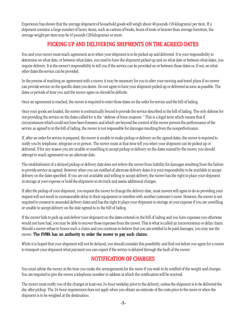Experience has shown that the average shipment of household goods will weigh about 40 pounds (18 kilograms) per item. If a shipment contains a large number of heavy items, such as cartons of books, boxes of tools or heavier than average furniture, the average weight per item may be 45 pounds (20 kilograms) or more.

# PICKING UP AND DELIVERING SHIPMENTS ON THE AGREED DATES

You and your mover must reach agreement as to when your shipment is to be picked up and delivered. It is your responsibility to determine on what date, or between what dates, you need to have the shipment picked up and on what date or between what dates, you require delivery. It is the mover's responsibility to tell you if the service can be provided on or between those dates or, if not, on what other dates the service can be provided.

In the process of reaching an agreement with a mover, it may be necessary for you to alter your moving and travel plans if no mover can provide service on the specific dates you desire. Do not agree to have your shipment picked up or delivered as soon as possible. The dates or periods of time you and the mover agree on should be definite.

Once an agreement is reached, the mover is required to enter those dates on the order for service and the bill of lading.

Once your goods are loaded, the mover is contractually bound to provide the service described in the bill of lading. The only defense for not providing the service on the dates called for is the "defense of force majeure." This is a legal term which means that if circumstances which could not have been foreseen and which are beyond the control of the mover prevent the performance of the service as agreed to in the bill of lading, the mover is not responsible for damages resulting from the nonperformance.

If, after an order for service is prepared, the mover is unable to make pickup or delivery on the agreed dates, the mover is required to notify you by telephone, telegram or in person. The mover must at that time tell you when your shipment can be picked up or delivered. If for any reason you are unable or unwilling to accept pickup or delivery on the dates named by the mover, you should attempt to reach agreement on an alternate date.

The establishment of a delayed pickup or delivery date does not relieve the mover from liability for damages resulting from the failure to provide service as agreed. However, when you are notified of alternate delivery dates it is your responsibility to be available to accept delivery on the dates specified. If you are not available and willing to accept delivery, the mover has the right to place your shipment in storage at your expense or hold the shipment on its truck and assess additional charges.

If after the pickup of your shipment, you request the mover to change the delivery date, most movers will agree to do so providing your request will not result in unreasonable delay to their equipment or interfere with another customer's move. However, the mover is not required to consent to amended delivery dates and has the right to place your shipment in storage at your expense if you are unwilling or unable to accept delivery on the date agreed to in the bill of lading.

If the mover fails to pick up and deliver your shipment on the dates entered on the bill of lading and you have expenses you otherwise would not have had, you may be able to recover those expenses from the mover. This is what is called an inconvenience or delay claim. Should a mover refuse to honor such a claim and you continue to believe that you are entitled to be paid damages, you may sue the mover. The FHWA has no authority to order the mover to pay such claims.

While it is hoped that your shipment will not be delayed, you should consider this possibility and find out before you agree for a mover to transport your shipment what payment you can expect if the service is delayed through the fault of the mover.

# **NOTIFICATION OF CHARGES**

You must advise the mover at the time you make the arrangements for the move if you wish to be notified of the weight and charges. You are required to give the mover a telephone number or address at which the notification will be received.

The mover must notify you of the charges at least one 24-hour weekday prior to the delivery, unless the shipment is to be delivered the day after pickup. The 24-hour requirement does not apply when you obtain an estimate of the costs prior to the move or when the shipment is to be weighed at the destination.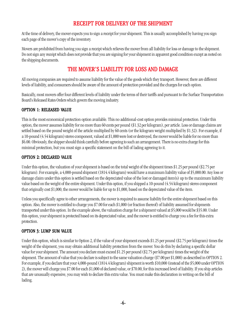# RECEIPT FOR DELIVERY OF THE SHIPMENT

At the time of delivery, the mover expects you to sign a receipt for your shipment. This is usually accomplished by having you sign each page of the mover's copy of the inventory.

Movers are prohibited from having you sign a receipt which relieves the mover from all liability for loss or damage to the shipment. Do not sign any receipt which does not provide that you are signing for your shipment in apparent good condition except as noted on the shipping documents.

# THE MOVER'S LIABILITY FOR LOSS AND DAMAGE

All moving companies are required to assume liability for the value of the goods which they transport. However, there are different levels of liability, and consumers should be aware of the amount of protection provided and the charges for each option.

Basically, most movers offer four different levels of liability under the terms of their tariffs and pursuant to the Surface Transportation Board's Released Rates Orders which govern the moving industry.

#### OPTION 1: RELEASED VALUE

This is the most economical protection option available. This no additional-cost option provides minimal protection. Under this option, the mover assumes liability for no more than 60 cents per pound (\$1.32 per kilogram), per article. Loss or damage claims are settled based on the pound weight of the article multiplied by 60 cents (or the kilogram weight multiplied by \$1.32). For example, if a 10-pound (4.54 kilogram) stereo component, valued at \$1,000 were lost or destroyed, the mover would be liable for no more than \$6.00. Obviously, the shipper should think carefully before agreeing to such an arrangement. There is no extra charge for this minimal protection, but you must sign a specific statement on the bill of lading agreeing to it.

#### OPTION 2: DECLARED VALUE

Under this option, the valuation of your shipment is based on the total weight of the shipment times \$1.25 per pound (\$2.75 per kilogram). For example, a 4,000-pound shipment (1814.4 kilogram) would have a maximum liability value of \$5,000.00. Any loss or damage claim under this option is settled based on the depreciated value of the lost or damaged item(s) up to the maximum liability value based on the weight of the entire shipment. Under this option, if you shipped a 10-pound (4.54 kilogram) stereo component that originally cost \$1,000, the mover would be liable for up to \$1,000, based on the depreciated value of the item.

Unless you specifically agree to other arrangements, the mover is required to assume liability for the entire shipment based on this option. Also, the mover is entitled to charge you \$7.00 for each \$1,000 (or fraction thereof) of liability assumed for shipments transported under this option. In the example above, the valuation charge for a shipment valued at \$5,000 would be \$35.00. Under this option, your shipment is protected based on its depreciated value, and the mover is entitled to charge you a fee for this extra protection.

#### OPTION 3: LUMP SUM VALUE

Under this option, which is similar to Option 2, if the value of your shipment exceeds \$1.25 per pound (\$2.75 per kilogram) times the weight of the shipment, you may obtain additional liability protection from the mover. You do this by declaring a specific dollar value for your shipment. The amount you declare must exceed \$1.25 per pound (\$2.75 per kilogram) times the weight of the shipment. The amount of value that you declare is subject to the same valuation charge (\$7.00 per \$1,000) as described in OPTION 2. For example, if you declare that your 4,000-pound (1814.4 kilogram) shipment is worth \$10,000 (instead of the \$5,000 under OPTION 2), the mover will charge you \$7.00 for each \$1,000 of declared value, or \$70.00, for this increased level of liability. If you ship articles that are unusually expensive, you may wish to declare this extra value. You must make this declaration in writing on the bill of lading.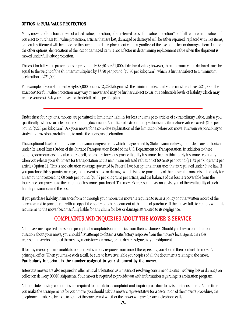## OPTION 4: FULL VALUE PROTECTION

Many movers offer a fourth level of added-value protection, often referred to as "full value protection" or "full replacement value." If you elect to purchase full value protection, articles that are lost, damaged or destroyed will be either repaired, replaced with like items, or a cash settlement will be made for the current market replacement value regardless of the age of the lost or damaged item. Unlike the other options, depreciation of the lost or damaged item is not a factor in determining replacement value when the shipment is moved under full value protection.

The cost for full value protection is approximately \$8.50 per \$1,000 of declared value; however, the minimum value declared must be equal to the weight of the shipment multiplied by \$3.50 per pound (\$7.70 per kilogram), which is further subject to a minimum declaration of \$21,000.

For example, if your shipment weighs 5,000 pounds (2,268 kilograms), the minimum declared value must be at least \$21,000. The exact cost for full value protection may vary by mover and may be further subject to various deductible levels of liability which may reduce your cost. Ask your mover for the details of its specific plan.

Under these four options, movers are permitted to limit their liability for loss or damage to articles of extraordinary value, unless you specifically list these articles on the shipping documents. An article of extraordinary value is any item whose value exceeds \$100 per pound (\$220 per kilogram). Ask your mover for a complete explanation of this limitation before you move. It is your responsibility to study this provision carefully and to make the necessary declaration.

These optional levels of liability are not insurance agreements which are governed by State insurance laws, but instead are authorized under Released Rates Orders of the Surface Transportation Board of the U.S. Department of Transportation. In addition to these options, some carriers may also offer to sell, or procure for you, separate liability insurance from a third-party insurance company when you release your shipment for transportation at the minimum released valuation of 60 cents per pound (\$1.32 per kilogram) per article (Option 1). This is not valuation coverage governed by Federal law, but optional insurance that is regulated under State law. If you purchase this separate coverage, in the event of loss or damage which is the responsibility of the mover, the mover is liable only for an amount not exceeding 60 cents per pound (\$1.32 per kilogram) per article, and the balance of the loss is recoverable from the insurance company up to the amount of insurance purchased. The mover's representative can advise you of the availability of such liability insurance and the cost.

If you purchase liability insurance from or through your mover, the mover is required to issue a policy or other written record of the purchase and to provide you with a copy of the policy or other document at the time of purchase. If the mover fails to comply with this requirement, the mover becomes fully liable for any claim for loss or damage attributed to its negligence.

## COMPLAINTS AND INQUIRIES ABOUT THE MOVER'S SERVICE

All movers are expected to respond promptly to complaints or inquiries from their customers. Should you have a complaint or question about your move, you should first attempt to obtain a satisfactory response from the mover's local agent, the sales representative who handled the arrangements for your move, or the driver assigned to your shipment.

If for any reason you are unable to obtain a satisfactory response from one of these persons, you should then contact the mover's principal office. When you make such a call, be sure to have available your copies of all the documents relating to the move. Particularly important is the number assigned to your shipment by the mover.

Interstate movers are also required to offer neutral arbitration as a means of resolving consumer disputes involving loss or damage on collect on delivery (COD) shipments. Your mover is required to provide you with information regarding its arbitration program.

All interstate moving companies are required to maintain a complaint and inquiry procedure to assist their customers. At the time you make the arrangements for your move, you should ask the mover's representative for a description of the mover's procedure, the telephone number to be used to contact the carrier and whether the mover will pay for such telephone calls.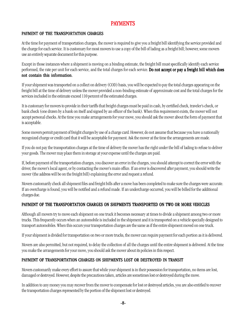## PAYMENTS

#### PAYMENT OF THE TRANSPORTATION CHARGES

At the time for payment of transportation charges, the mover is required to give you a freight bill identifying the service provided and the charge for each service. It is customary for most movers to use a copy of the bill of lading as a freight bill; however, some movers use an entirely separate document for this purpose.

Except in those instances where a shipment is moving on a binding estimate, the freight bill must specifically identify each service performed, the rate per unit for each service, and the total charges for each service. Do not accept or pay a freight bill which does not contain this information.

If your shipment was transported on a collect on delivery (COD) basis, you will be expected to pay the total charges appearing on the freight bill at the time of delivery unless the mover provided a non-binding estimate of approximate cost and the total charges for the services included in the estimate exceed 110 percent of the estimated charges.

It is customary for movers to provide in their tariffs that freight charges must be paid in cash, by certified check, traveler's check, or bank check (one drawn by a bank on itself and signed by an officer of the bank). When this requirement exists, the mover will not accept personal checks. At the time you make arrangements for your move, you should ask the mover about the form of payment that is acceptable.

Some movers permit payment of freight charges by use of a charge card. However, do not assume that because you have a nationally recognized charge or credit card that it will be acceptable for payment. Ask the mover at the time the arrangements are made.

If you do not pay the transportation charges at the time of delivery the mover has the right under the bill of lading to refuse to deliver your goods. The mover may place them in storage at your expense until the charges are paid.

If, before payment of the transportation charges, you discover an error in the charges, you should attempt to correct the error with the driver, the mover's local agent, or by contacting the mover's main office. If an error is discovered after payment, you should write the mover (the address will be on the freight bill) explaining the error and request a refund.

Movers customarily check all shipment files and freight bills after a move has been completed to make sure the charges were accurate. If an overcharge is found, you will be notified and a refund made. If an undercharge occurred, you will be billed for the additional charges due.

#### PAYMENT OF THE TRANSPORTATION CHARGES ON SHIPMENTS TRANSPORTED ON TWO OR MORE VEHICLES

Although all movers try to move each shipment on one truck it becomes necessary at times to divide a shipment among two or more trucks. This frequently occurs when an automobile is included in the shipment and it is transported on a vehicle specially designed to transport automobiles. When this occurs your transportation charges are the same as if the entire shipment moved on one truck.

If your shipment is divided for transportation on two or more trucks, the mover can require payment for each portion as it is delivered.

Movers are also permitted, but not required, to delay the collection of all the charges until the entire shipment is delivered. At the time you make the arrangements for your move, you should ask the mover about its policies in this respect.

## PAYMENT OF TRANSPORTATION CHARGES ON SHIPMENTS LOST OR DESTROYED IN TRANSIT

Movers customarily make every effort to assure that while your shipment is in their possession for transportation, no items are lost, damaged or destroyed. However, despite the precautions taken, articles are sometimes lost or destroyed during the move.

In addition to any money you may recover from the mover to compensate for lost or destroyed articles, you are also entitled to recover the transportation charges represented by the portion of the shipment lost or destroyed.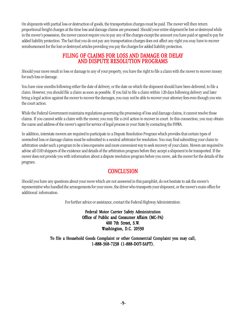On shipments with partial loss or destruction of goods, the transportation charges must be paid. The mover will then return proportional freight charges at the time loss and damage claims are processed. Should your entire shipment be lost or destroyed while in the mover's possession, the mover cannot require you to pay any of the charges except the amount you have paid or agreed to pay for added liability protection. The fact that you do not pay any transportation charges does not affect any right you may have to recover reimbursement for the lost or destroyed articles providing you pay the charges for added liability protection.

## FILING OF CLAIMS FOR LOSS AND DAMAGE OR DELAY AND DISPUTE RESOLUTION PROGRAMS

Should your move result in loss or damage to any of your property, you have the right to file a claim with the mover to recover money for such loss or damage.

You have nine months following either the date of delivery, or the date on which the shipment should have been delivered, to file a claim. However, you should file a claim as soon as possible. If you fail to file a claim within 120 days following delivery and later bring a legal action against the mover to recover the damages, you may not be able to recover your attorney fees even though you win the court action.

While the Federal Government maintains regulations governing the processing of loss and damage claims, it cannot resolve those claims. If you cannot settle a claim with the mover, you may file a civil action to recover in court. In this connection, you may obtain the name and address of the mover's agent for service of legal process in your State by contacting the FHWA.

In addition, interstate movers are required to participate in a Dispute Resolution Program which provides that certain types of unresolved loss or damage claims must be submitted to a neutral arbitrator for resolution. You may find submitting your claim to arbitration under such a program to be a less expensive and more convenient way to seek recovery of your claim. Movers are required to advise all COD shippers of the existence and details of the arbitration program before they accept a shipment to be transported. If the mover does not provide you with information about a dispute resolution program before you move, ask the mover for the details of the program.

# **CONCLUSION**

Should you have any questions about your move which are not answered in this pamphlet, do not hesitate to ask the mover's representative who handled the arrangements for your move, the driver who transports your shipment, or the mover's main office for additional information.

For further advice or assistance, contact the Federal Highway Administration:

Federal Motor Carrier Safety Administration Office of Public and Consumer Affairs (MC-PA) 400 7th Street, S.W. Washington, D.C. 20590

To file a Household Goods Complaint or other Commercial Complaint you may call, 1-888-368-7238 (1-888-DOT-SAFT).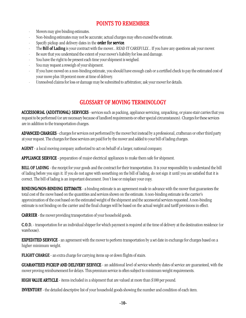# POINTS TO REMEMBER

- · Movers may give binding estimates.
- · Non-binding estimates may not be accurate; actual charges may often exceed the estimate.
- Specify pickup and delivery dates in the **order for service**.
- The **Bill of Lading** is your contract with the mover... READ IT CAREFULLY... If you have any questions ask your mover.
- Be sure that you understand the extent of your mover's liability for loss and damage.
- You have the right to be present each time your shipment is weighed.
- · You may request a reweigh of your shipment.
- If you have moved on a non-binding estimate, you should have enough cash or a certified check to pay the estimated cost of your move plus 10 percent more at time of delivery.
- Unresolved claims for loss or damage may be submitted to arbitration; ask your mover for details.

## **GLOSSARY OF MOVING TERMINOLOGY**

ACCESSORIAL (ADDITIONAL) SERVICES - services such as packing, appliance servicing, unpacking, or piano stair carries that you request to be performed (or are necessary because of landlord requirements or other special circumstances). Charges for these services are in addition to the transportation charges.

ADVANCED CHARGES - charges for services not performed by the mover but instead by a professional, craftsman or other third party at your request. The charges for these services are paid for by the mover and added to your bill of lading charges.

AGENT - a local moving company authorized to act on behalf of a larger, national company.

**APPLIANCE SERVICE** - preparation of major electrical appliances to make them safe for shipment.

BILL OF LADING - the receipt for your goods and the contract for their transportation. It is your responsibility to understand the bill of lading before you sign it. If you do not agree with something on the bill of lading, do not sign it until you are satisfied that it is correct. The bill of lading is an important document. Don't lose or misplace your copy.

**BINDING/NON-BINDING ESTIMATE** - a binding estimate is an agreement made in advance with the mover that guarantees the total cost of the move based on the quantities and services shown on the estimate. A non-binding estimate is the carrier's approximation of the cost based on the estimated weight of the shipment and the accessorial services requested. A non-binding estimate is not binding on the carrier and the final charges will be based on the actual weight and tariff provisions in effect.

**CARRIER** - the mover providing transportation of your household goods.

C.O.D. - C.O.D. transportation for an individual shipper for which payment is required at the time of delivery at the destination residence (or warehouse).

**EXPEDITED SERVICE** - an agreement with the mover to perform transportation by a set date in exchange for charges based on a higher minimum weight.

**FLIGHT CHARGE** - an extra charge for carrying items up or down flights of stairs.

**GUARANTEED PICKUP AND DELIVERY SERVICE** - an additional level of service whereby dates of service are guaranteed, with the mover proving reimbursement for delays. This premium service is often subject to minimum weight requirements.

**HIGH VALUE ARTICLE** - items included in a shipment that are valued at more than \$100 per pound.

**INVENTORY** - the detailed descriptive list of your household goods showing the number and condition of each item.